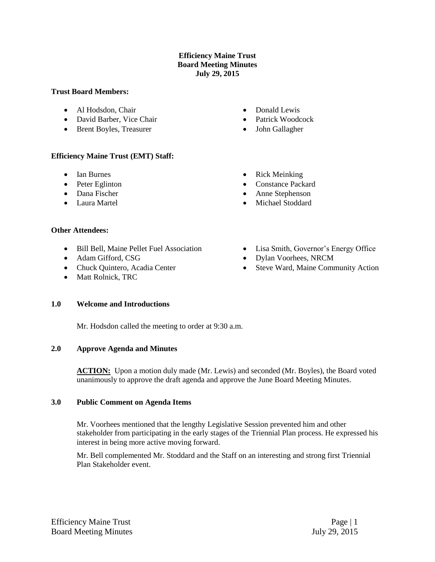### **Efficiency Maine Trust Board Meeting Minutes July 29, 2015**

#### **Trust Board Members:**

- Al Hodsdon, Chair
- David Barber, Vice Chair
- Brent Boyles, Treasurer
- Donald Lewis
- Patrick Woodcock
- John Gallagher

### **Efficiency Maine Trust (EMT) Staff:**

- Ian Burnes
- Peter Eglinton
- Dana Fischer
- Laura Martel

# • Rick Meinking

- Constance Packard
- Anne Stephenson
- Michael Stoddard

Dylan Voorhees, NRCM

Lisa Smith, Governor's Energy Office

### **Other Attendees:**

- Bill Bell, Maine Pellet Fuel Association
- Adam Gifford, CSG
- Chuck Quintero, Acadia Center
- Matt Rolnick, TRC

• Steve Ward, Maine Community Action

### **1.0 Welcome and Introductions**

Mr. Hodsdon called the meeting to order at 9:30 a.m.

### **2.0 Approve Agenda and Minutes**

ACTION: Upon a motion duly made (Mr. Lewis) and seconded (Mr. Boyles), the Board voted unanimously to approve the draft agenda and approve the June Board Meeting Minutes.

### **3.0 Public Comment on Agenda Items**

Mr. Voorhees mentioned that the lengthy Legislative Session prevented him and other stakeholder from participating in the early stages of the Triennial Plan process. He expressed his interest in being more active moving forward.

Mr. Bell complemented Mr. Stoddard and the Staff on an interesting and strong first Triennial Plan Stakeholder event.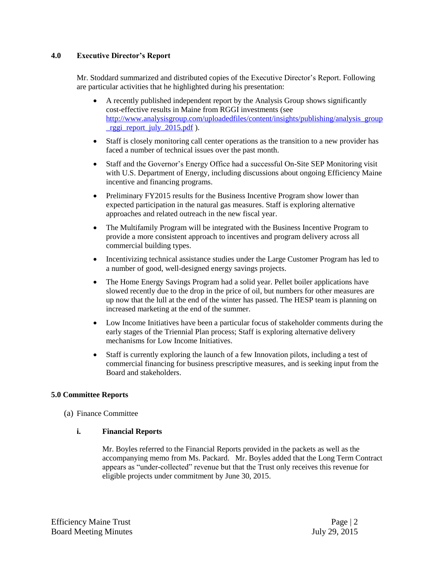### **4.0 Executive Director's Report**

Mr. Stoddard summarized and distributed copies of the Executive Director's Report. Following are particular activities that he highlighted during his presentation:

- A recently published independent report by the Analysis Group shows significantly cost-effective results in Maine from RGGI investments (see [http://www.analysisgroup.com/uploadedfiles/content/insights/publishing/analysis\\_group](http://www.analysisgroup.com/uploadedfiles/content/insights/publishing/analysis_group_rggi_report_july_2015.pdf) [\\_rggi\\_report\\_july\\_2015.pdf](http://www.analysisgroup.com/uploadedfiles/content/insights/publishing/analysis_group_rggi_report_july_2015.pdf) ).
- Staff is closely monitoring call center operations as the transition to a new provider has faced a number of technical issues over the past month.
- Staff and the Governor's Energy Office had a successful On-Site SEP Monitoring visit with U.S. Department of Energy, including discussions about ongoing Efficiency Maine incentive and financing programs.
- Preliminary FY2015 results for the Business Incentive Program show lower than expected participation in the natural gas measures. Staff is exploring alternative approaches and related outreach in the new fiscal year.
- The Multifamily Program will be integrated with the Business Incentive Program to provide a more consistent approach to incentives and program delivery across all commercial building types.
- Incentivizing technical assistance studies under the Large Customer Program has led to a number of good, well-designed energy savings projects.
- The Home Energy Savings Program had a solid year. Pellet boiler applications have slowed recently due to the drop in the price of oil, but numbers for other measures are up now that the lull at the end of the winter has passed. The HESP team is planning on increased marketing at the end of the summer.
- Low Income Initiatives have been a particular focus of stakeholder comments during the early stages of the Triennial Plan process; Staff is exploring alternative delivery mechanisms for Low Income Initiatives.
- Staff is currently exploring the launch of a few Innovation pilots, including a test of commercial financing for business prescriptive measures, and is seeking input from the Board and stakeholders.

# **5.0 Committee Reports**

(a) Finance Committee

### **i. Financial Reports**

Mr. Boyles referred to the Financial Reports provided in the packets as well as the accompanying memo from Ms. Packard. Mr. Boyles added that the Long Term Contract appears as "under-collected" revenue but that the Trust only receives this revenue for eligible projects under commitment by June 30, 2015.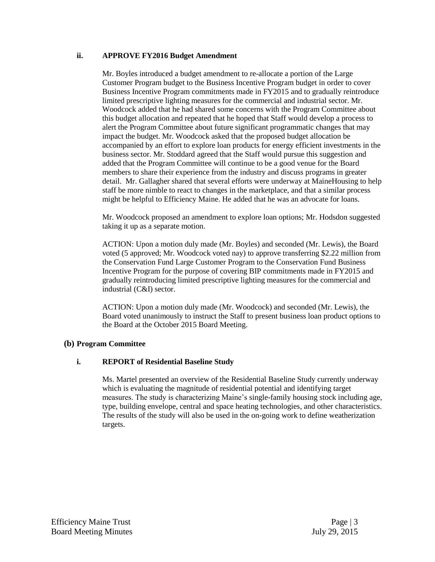### **ii. APPROVE FY2016 Budget Amendment**

Mr. Boyles introduced a budget amendment to re-allocate a portion of the Large Customer Program budget to the Business Incentive Program budget in order to cover Business Incentive Program commitments made in FY2015 and to gradually reintroduce limited prescriptive lighting measures for the commercial and industrial sector. Mr. Woodcock added that he had shared some concerns with the Program Committee about this budget allocation and repeated that he hoped that Staff would develop a process to alert the Program Committee about future significant programmatic changes that may impact the budget. Mr. Woodcock asked that the proposed budget allocation be accompanied by an effort to explore loan products for energy efficient investments in the business sector. Mr. Stoddard agreed that the Staff would pursue this suggestion and added that the Program Committee will continue to be a good venue for the Board members to share their experience from the industry and discuss programs in greater detail. Mr. Gallagher shared that several efforts were underway at MaineHousing to help staff be more nimble to react to changes in the marketplace, and that a similar process might be helpful to Efficiency Maine. He added that he was an advocate for loans.

Mr. Woodcock proposed an amendment to explore loan options; Mr. Hodsdon suggested taking it up as a separate motion.

ACTION: Upon a motion duly made (Mr. Boyles) and seconded (Mr. Lewis), the Board voted (5 approved; Mr. Woodcock voted nay) to approve transferring \$2.22 million from the Conservation Fund Large Customer Program to the Conservation Fund Business Incentive Program for the purpose of covering BIP commitments made in FY2015 and gradually reintroducing limited prescriptive lighting measures for the commercial and industrial (C&I) sector.

ACTION: Upon a motion duly made (Mr. Woodcock) and seconded (Mr. Lewis), the Board voted unanimously to instruct the Staff to present business loan product options to the Board at the October 2015 Board Meeting.

# **(b) Program Committee**

# **i. REPORT of Residential Baseline Study**

Ms. Martel presented an overview of the Residential Baseline Study currently underway which is evaluating the magnitude of residential potential and identifying target measures. The study is characterizing Maine's single-family housing stock including age, type, building envelope, central and space heating technologies, and other characteristics. The results of the study will also be used in the on-going work to define weatherization targets.